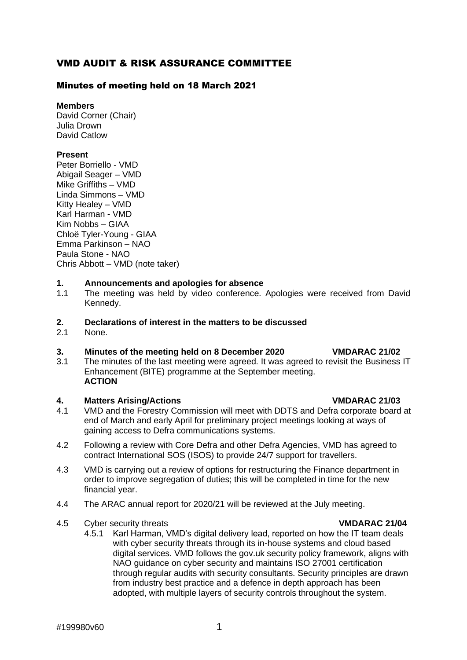# VMD AUDIT & RISK ASSURANCE COMMITTEE

# Minutes of meeting held on 18 March 2021

# **Members**

David Corner (Chair) Julia Drown David Catlow

## **Present**

Peter Borriello - VMD Abigail Seager – VMD Mike Griffiths – VMD Linda Simmons – VMD Kitty Healey – VMD Karl Harman - VMD Kim Nobbs – GIAA Chloë Tyler-Young - GIAA Emma Parkinson – NAO Paula Stone - NAO Chris Abbott – VMD (note taker)

## **1. Announcements and apologies for absence**

1.1 The meeting was held by video conference. Apologies were received from David Kennedy.

# **2. Declarations of interest in the matters to be discussed**

2.1 None.

## **3. Minutes of the meeting held on 8 December 2020 VMDARAC 21/02**

3.1 The minutes of the last meeting were agreed. It was agreed to revisit the Business IT Enhancement (BITE) programme at the September meeting. **ACTION**

## **4. Matters Arising/Actions VMDARAC 21/03**

- 4.1 VMD and the Forestry Commission will meet with DDTS and Defra corporate board at end of March and early April for preliminary project meetings looking at ways of gaining access to Defra communications systems.
- 4.2 Following a review with Core Defra and other Defra Agencies, VMD has agreed to contract International SOS (ISOS) to provide 24/7 support for travellers.
- 4.3 VMD is carrying out a review of options for restructuring the Finance department in order to improve segregation of duties; this will be completed in time for the new financial year.
- 4.4 The ARAC annual report for 2020/21 will be reviewed at the July meeting.
- 4.5 Cyber security threats **VMDARAC 21/04**
	- 4.5.1 Karl Harman, VMD's digital delivery lead, reported on how the IT team deals with cyber security threats through its in-house systems and cloud based digital services. VMD follows the gov.uk security policy framework, aligns with NAO guidance on cyber security and maintains ISO 27001 certification through regular audits with security consultants. Security principles are drawn from industry best practice and a defence in depth approach has been adopted, with multiple layers of security controls throughout the system.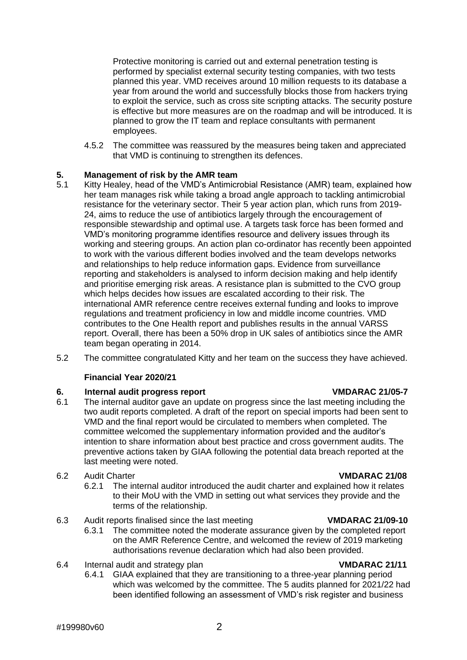Protective monitoring is carried out and external penetration testing is performed by specialist external security testing companies, with two tests planned this year. VMD receives around 10 million requests to its database a year from around the world and successfully blocks those from hackers trying to exploit the service, such as cross site scripting attacks. The security posture is effective but more measures are on the roadmap and will be introduced. It is planned to grow the IT team and replace consultants with permanent employees.

4.5.2 The committee was reassured by the measures being taken and appreciated that VMD is continuing to strengthen its defences.

# **5. Management of risk by the AMR team**

- Kitty Healey, head of the VMD's Antimicrobial Resistance (AMR) team, explained how her team manages risk while taking a broad angle approach to tackling antimicrobial resistance for the veterinary sector. Their 5 year action plan, which runs from 2019- 24, aims to reduce the use of antibiotics largely through the encouragement of responsible stewardship and optimal use. A targets task force has been formed and VMD's monitoring programme identifies resource and delivery issues through its working and steering groups. An action plan co-ordinator has recently been appointed to work with the various different bodies involved and the team develops networks and relationships to help reduce information gaps. Evidence from surveillance reporting and stakeholders is analysed to inform decision making and help identify and prioritise emerging risk areas. A resistance plan is submitted to the CVO group which helps decides how issues are escalated according to their risk. The international AMR reference centre receives external funding and looks to improve regulations and treatment proficiency in low and middle income countries. VMD contributes to the One Health report and publishes results in the annual VARSS report. Overall, there has been a 50% drop in UK sales of antibiotics since the AMR team began operating in 2014.
- 5.2 The committee congratulated Kitty and her team on the success they have achieved.

# **Financial Year 2020/21**

## **6. Internal audit progress report VMDARAC 21/05-7**

- 6.1 The internal auditor gave an update on progress since the last meeting including the two audit reports completed. A draft of the report on special imports had been sent to VMD and the final report would be circulated to members when completed. The committee welcomed the supplementary information provided and the auditor's intention to share information about best practice and cross government audits. The preventive actions taken by GIAA following the potential data breach reported at the last meeting were noted.
- 6.2 Audit Charter **VMDARAC 21/08**
	- 6.2.1 The internal auditor introduced the audit charter and explained how it relates to their MoU with the VMD in setting out what services they provide and the terms of the relationship.
- 6.3 Audit reports finalised since the last meeting **VMDARAC 21/09-10**
	- 6.3.1 The committee noted the moderate assurance given by the completed report on the AMR Reference Centre, and welcomed the review of 2019 marketing authorisations revenue declaration which had also been provided.
- 6.4 Internal audit and strategy plan **VMDARAC 21/11**
	- 6.4.1 GIAA explained that they are transitioning to a three-year planning period which was welcomed by the committee. The 5 audits planned for 2021/22 had been identified following an assessment of VMD's risk register and business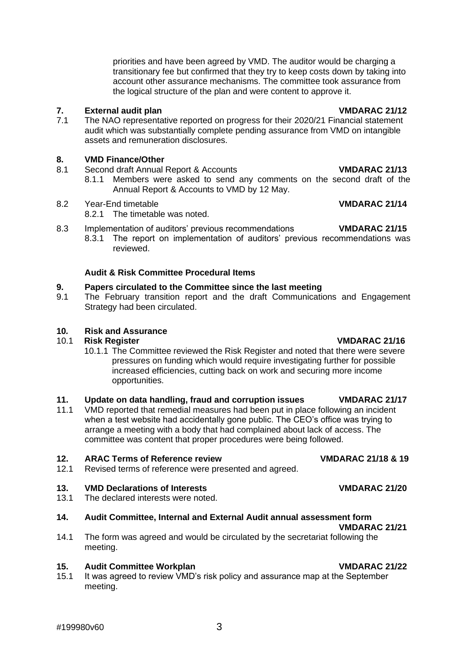meeting.

priorities and have been agreed by VMD. The auditor would be charging a transitionary fee but confirmed that they try to keep costs down by taking into account other assurance mechanisms. The committee took assurance from the logical structure of the plan and were content to approve it.

**7. External audit plan Figure 21/12**<br>**7.1** The NAO representative reported on progress for their 2020/21 Financial statement The NAO representative reported on progress for their 2020/21 Financial statement audit which was substantially complete pending assurance from VMD on intangible assets and remuneration disclosures.

## **8. VMD Finance/Other**

- 8.1 Second draft Annual Report & Accounts **VMDARAC 21/13**
	- 8.1.1 Members were asked to send any comments on the second draft of the Annual Report & Accounts to VMD by 12 May.
- 8.2 Year-End timetable **VMDARAC 21/14**
	- 8.2.1 The timetable was noted.
- 8.3 Implementation of auditors' previous recommendations **VMDARAC 21/15** 8.3.1 The report on implementation of auditors' previous recommendations was
	- reviewed.

# **Audit & Risk Committee Procedural Items**

# **9. Papers circulated to the Committee since the last meeting**

9.1 The February transition report and the draft Communications and Engagement Strategy had been circulated.

# **10***.* **Risk and Assurance**

## 10.1 **Risk Register VMDARAC 21/16**

10.1.1 The Committee reviewed the Risk Register and noted that there were severe pressures on funding which would require investigating further for possible increased efficiencies, cutting back on work and securing more income opportunities.

# **11. Update on data handling, fraud and corruption issues VMDARAC 21/17**

11.1 VMD reported that remedial measures had been put in place following an incident when a test website had accidentally gone public. The CEO's office was trying to arrange a meeting with a body that had complained about lack of access. The committee was content that proper procedures were being followed.

## **12. ARAC Terms of Reference review VMDARAC 21/18 & 19**

12.1 Revised terms of reference were presented and agreed.

## **13. VMD Declarations of Interests VMDARAC 21/20**

13.1 The declared interests were noted.

## **14. Audit Committee, Internal and External Audit annual assessment form**

14.1 The form was agreed and would be circulated by the secretariat following the

- **15. Audit Committee Workplan VMDARAC 21/22**
	- 15.1 It was agreed to review VMD's risk policy and assurance map at the September meeting.

**VMDARAC 21/21**